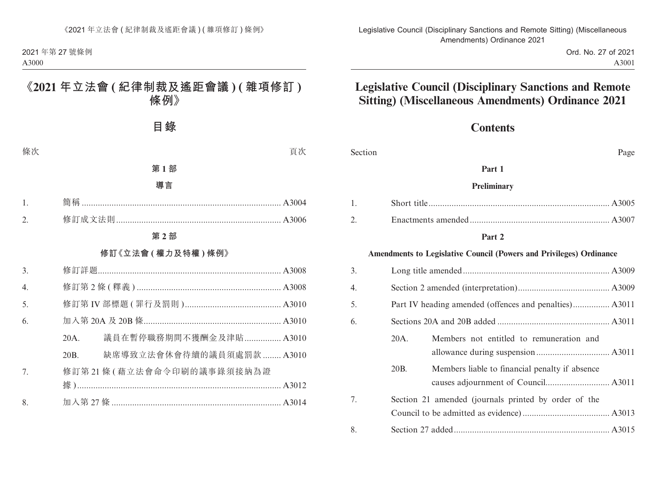Ord. No. 27 of 2021 A3001

# **Legislative Council (Disciplinary Sanctions and Remote Sitting) (Miscellaneous Amendments) Ordinance 2021**

# **Contents**

| Section |                                                        |                                                                            | Page |
|---------|--------------------------------------------------------|----------------------------------------------------------------------------|------|
|         |                                                        | Part 1                                                                     |      |
|         |                                                        | Preliminary                                                                |      |
| 1.      |                                                        |                                                                            |      |
| 2.      |                                                        |                                                                            |      |
|         |                                                        | Part 2                                                                     |      |
|         |                                                        | <b>Amendments to Legislative Council (Powers and Privileges) Ordinance</b> |      |
| 3.      |                                                        |                                                                            |      |
| 4.      |                                                        |                                                                            |      |
| 5.      | Part IV heading amended (offences and penalties) A3011 |                                                                            |      |
| 6.      |                                                        |                                                                            |      |
|         | 20A.                                                   | Members not entitled to remuneration and                                   |      |
|         |                                                        |                                                                            |      |
|         | 20B.                                                   | Members liable to financial penalty if absence                             |      |
|         |                                                        |                                                                            |      |
| 7.      |                                                        | Section 21 amended (journals printed by order of the                       |      |
|         |                                                        |                                                                            |      |
| 8.      |                                                        |                                                                            |      |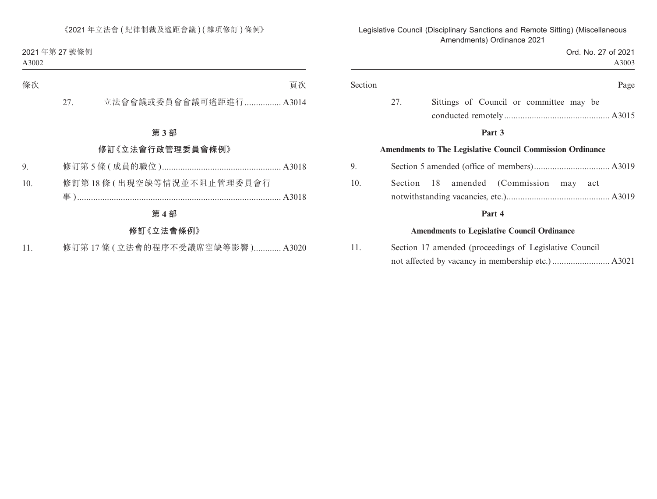|                                                    | Section                                                                                                                               |
|----------------------------------------------------|---------------------------------------------------------------------------------------------------------------------------------------|
| 27.                                                |                                                                                                                                       |
|                                                    |                                                                                                                                       |
|                                                    | 9.                                                                                                                                    |
|                                                    | 10.                                                                                                                                   |
|                                                    |                                                                                                                                       |
|                                                    |                                                                                                                                       |
| Sittings of Council or committee may be<br>amended | <b>Amendments to The Legislative Council Commission Ordinance</b><br>Section 18<br><b>Amendments to Legislative Council Ordinance</b> |

Legislative Council (Disciplinary Sanctions and Remote Sitting) (Miscellaneous

11. Section 17 amended (proceedings of Legislative Council not affected by vacancy in membership etc.) ......................... A3021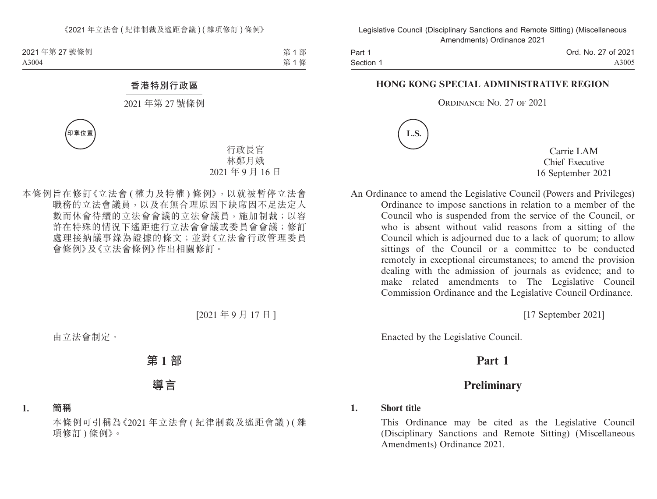Part 1 Section 1 Ord. No. 27 of 2021 A3005

#### **HONG KONG SPECIAL ADMINISTRATIVE REGION**

#### ORDINANCE NO. 27 OF 2021



Carrie LAM Chief Executive 16 September 2021

An Ordinance to amend the Legislative Council (Powers and Privileges) Ordinance to impose sanctions in relation to a member of the Council who is suspended from the service of the Council, or who is absent without valid reasons from a sitting of the Council which is adjourned due to a lack of quorum; to allow sittings of the Council or a committee to be conducted remotely in exceptional circumstances; to amend the provision dealing with the admission of journals as evidence; and to make related amendments to The Legislative Council Commission Ordinance and the Legislative Council Ordinance.

[17 September 2021]

Enacted by the Legislative Council.

# **Part 1**

# **Preliminary**

### **1. Short title**

This Ordinance may be cited as the Legislative Council (Disciplinary Sanctions and Remote Sitting) (Miscellaneous Amendments) Ordinance 2021.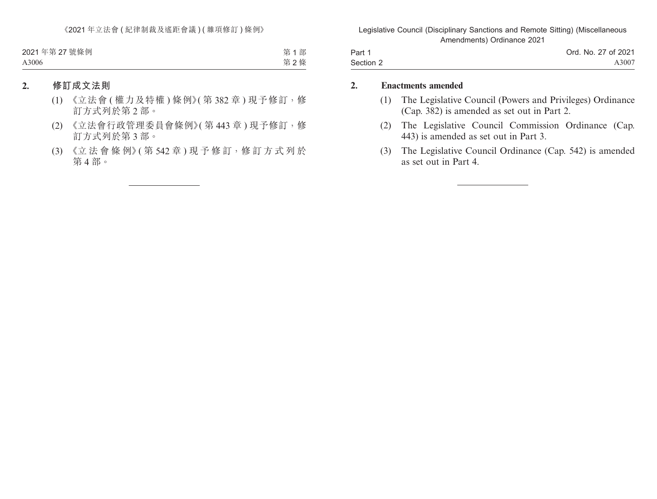| Part 1    | Ord. No. 27 of 2021 |
|-----------|---------------------|
| Section 2 | A3007               |

#### **2. Enactments amended**

- (1) The Legislative Council (Powers and Privileges) Ordinance (Cap. 382) is amended as set out in Part 2.
- (2) The Legislative Council Commission Ordinance (Cap. 443) is amended as set out in Part 3.
- (3) The Legislative Council Ordinance (Cap. 542) is amended as set out in Part 4.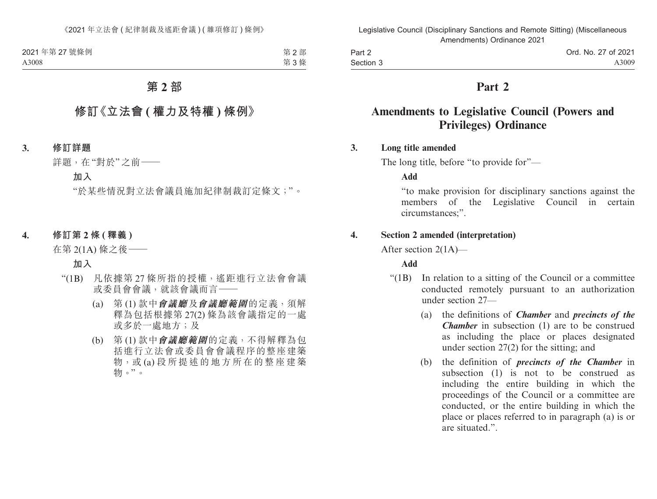Part 2 Section 3 Ord. No. 27 of 2021 A3009

# **Part 2**

# **Amendments to Legislative Council (Powers and Privileges) Ordinance**

### **3. Long title amended**

The long title, before "to provide for"—

**Add**

"to make provision for disciplinary sanctions against the members of the Legislative Council in certain circumstances;".

### **4. Section 2 amended (interpretation)**

After section 2(1A)—

### **Add**

- "(1B) In relation to a sitting of the Council or a committee conducted remotely pursuant to an authorization under section 27—
	- (a) the definitions of *Chamber* and *precincts of the Chamber* in subsection (1) are to be construed as including the place or places designated under section 27(2) for the sitting; and
	- (b) the definition of *precincts of the Chamber* in subsection (1) is not to be construed as including the entire building in which the proceedings of the Council or a committee are conducted, or the entire building in which the place or places referred to in paragraph (a) is or are situated.".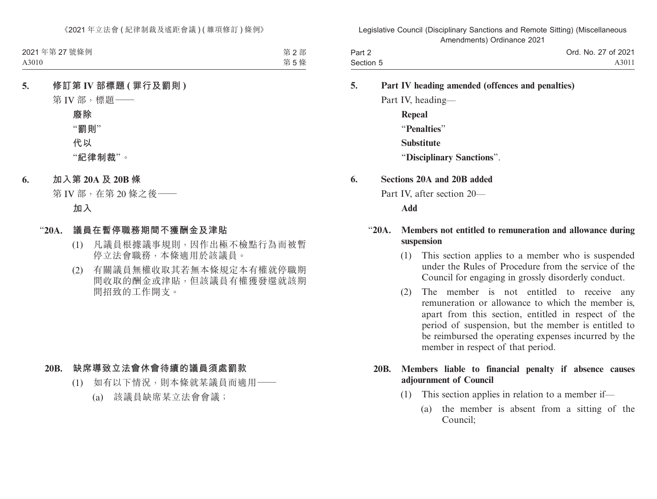| Part 2    | Ord. No. 27 of 2021 |
|-----------|---------------------|
| Section 5 | A3011               |

### **5. Part IV heading amended (offences and penalties)**

Part IV, heading— **Repeal** "**Penalties**" **Substitute** "**Disciplinary Sanctions**".

#### **6. Sections 20A and 20B added**

Part IV, after section 20—

**Add**

### "**20A. Members not entitled to remuneration and allowance during suspension**

- (1) This section applies to a member who is suspended under the Rules of Procedure from the service of the Council for engaging in grossly disorderly conduct.
- (2) The member is not entitled to receive any remuneration or allowance to which the member is, apart from this section, entitled in respect of the period of suspension, but the member is entitled to be reimbursed the operating expenses incurred by the member in respect of that period.

### **20B. Members liable to financial penalty if absence causes adjournment of Council**

- (1) This section applies in relation to a member if—
	- (a) the member is absent from a sitting of the Council;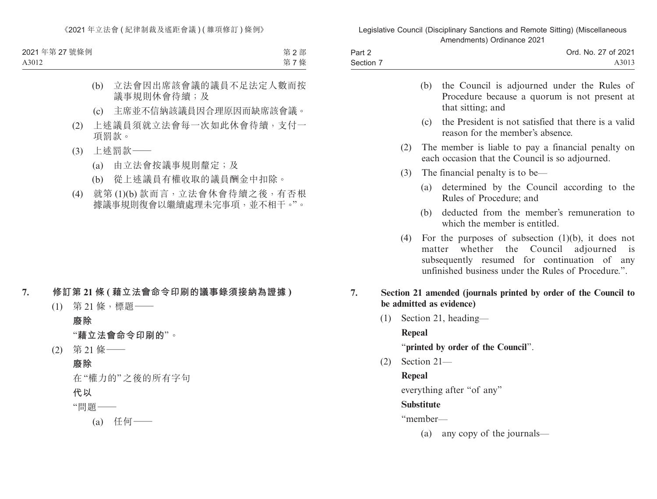| Part 2    | Ord. No. 27 of 2021 |
|-----------|---------------------|
| Section 7 | A3013               |

|     | (b) | the Council is adjourned under the Rules of<br>Procedure because a quorum is not present at<br>that sitting; and                                                                                            |
|-----|-----|-------------------------------------------------------------------------------------------------------------------------------------------------------------------------------------------------------------|
|     |     | (c) the President is not satisfied that there is a valid<br>reason for the member's absence.                                                                                                                |
| (2) |     | The member is liable to pay a financial penalty on<br>each occasion that the Council is so adjourned.                                                                                                       |
| (3) |     | The financial penalty is to be—                                                                                                                                                                             |
|     |     | (a) determined by the Council according to the<br>Rules of Procedure; and                                                                                                                                   |
|     |     | (b) deducted from the member's remuneration to<br>which the member is entitled.                                                                                                                             |
|     |     | (4) For the purposes of subsection $(1)(b)$ , it does not<br>matter whether the Council adjourned is<br>subsequently resumed for continuation of any<br>unfinished business under the Rules of Procedure.". |
| 7.  |     | Section 21 amended (journals printed by order of the Council to<br>be admitted as evidence)                                                                                                                 |

(1) Section 21, heading—

**Repeal**

"**printed by order of the Council**".

(2) Section 21—

# **Repeal**

everything after "of any"

# **Substitute**

"member—

(a) any copy of the journals—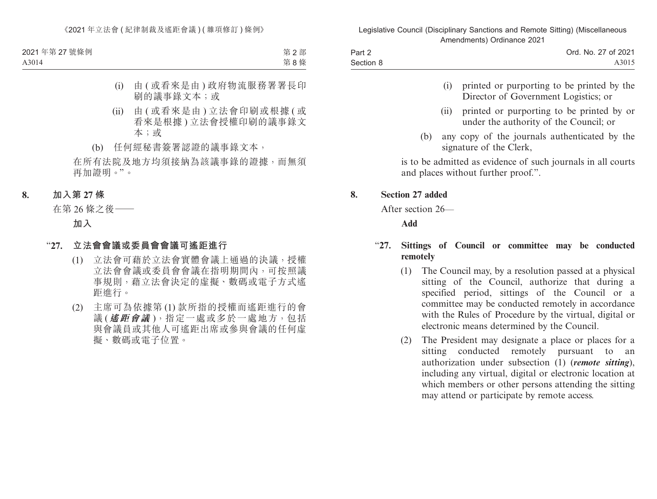| Part 2    | Ord. No. 27 of 2021 |
|-----------|---------------------|
| Section 8 | A3015               |

- (i) printed or purporting to be printed by the Director of Government Logistics; or
- (ii) printed or purporting to be printed by or under the authority of the Council; or
- (b) any copy of the journals authenticated by the signature of the Clerk,

is to be admitted as evidence of such journals in all courts and places without further proof.".

### **8. Section 27 added**

After section 26—

**Add**

## "**27. Sittings of Council or committee may be conducted remotely**

- (1) The Council may, by a resolution passed at a physical sitting of the Council, authorize that during a specified period, sittings of the Council or a committee may be conducted remotely in accordance with the Rules of Procedure by the virtual, digital or electronic means determined by the Council.
- (2) The President may designate a place or places for a sitting conducted remotely pursuant to an authorization under subsection (1) (*remote sitting*), including any virtual, digital or electronic location at which members or other persons attending the sitting may attend or participate by remote access.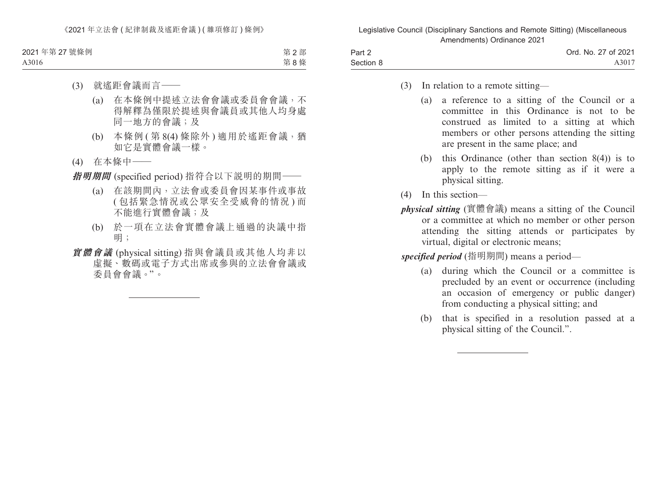| Part 2    | Ord. No. 27 of 2021 |
|-----------|---------------------|
| Section 8 | A3017               |

- (3) In relation to a remote sitting—
	- (a) a reference to a sitting of the Council or a committee in this Ordinance is not to be construed as limited to a sitting at which members or other persons attending the sitting are present in the same place; and
	- (b) this Ordinance (other than section 8(4)) is to apply to the remote sitting as if it were a physical sitting.
- (4) In this section—
- *physical sitting* (實體會議) means a sitting of the Council or a committee at which no member or other person attending the sitting attends or participates by virtual, digital or electronic means;

*specified period* (指明期間) means a period—

- (a) during which the Council or a committee is precluded by an event or occurrence (including an occasion of emergency or public danger) from conducting a physical sitting; and
- (b) that is specified in a resolution passed at a physical sitting of the Council.".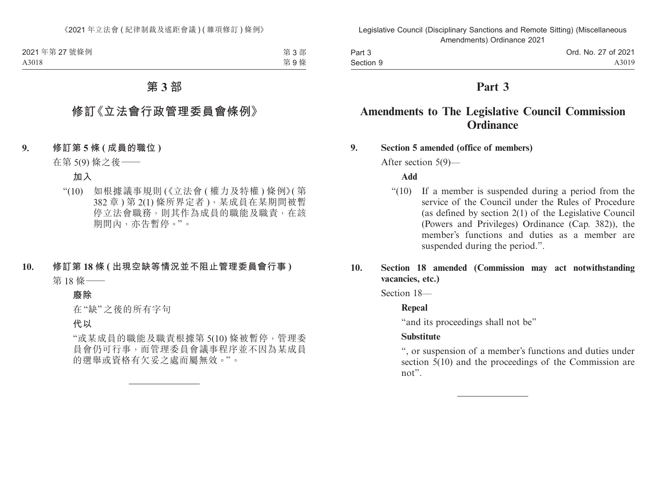Part 3 Section 9

# **Part 3**

# **Amendments to The Legislative Council Commission Ordinance**

### **9. Section 5 amended (office of members)**

After section 5(9)—

## **Add**

"(10) If a member is suspended during a period from the service of the Council under the Rules of Procedure (as defined by section 2(1) of the Legislative Council (Powers and Privileges) Ordinance (Cap. 382)), the member's functions and duties as a member are suspended during the period.".

# **10. Section 18 amended (Commission may act notwithstanding vacancies, etc.)**

Section 18—

## **Repeal**

"and its proceedings shall not be"

## **Substitute**

", or suspension of a member's functions and duties under section 5(10) and the proceedings of the Commission are not".